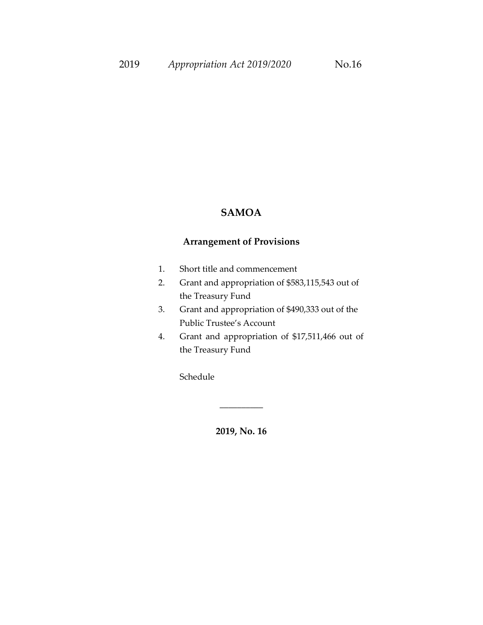### **SAMOA**

### **Arrangement of Provisions**

- 1. Short title and commencement
- 2. Grant and appropriation of \$583,115,543 out of the Treasury Fund
- 3. Grant and appropriation of \$490,333 out of the Public Trustee's Account
- 4. Grant and appropriation of \$17,511,466 out of the Treasury Fund

Schedule

**2019, No. 16**

\_\_\_\_\_\_\_\_\_\_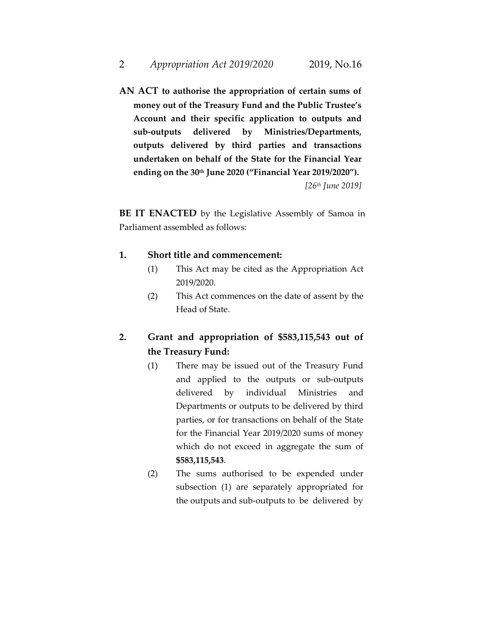**AN ACT to authorise the appropriation of certain sums of money out of the Treasury Fund and the Public Trustee's Account and their specific application to outputs and sub-outputs delivered by Ministries/Departments, outputs delivered by third parties and transactions undertaken on behalf of the State for the Financial Year ending on the 30th June 2020 ("Financial Year 2019/2020").** *[26th June 2019]*

**BE IT ENACTED** by the Legislative Assembly of Samoa in Parliament assembled as follows:

#### **1. Short title and commencement:**

- (1) This Act may be cited as the Appropriation Act 2019/2020.
- (2) This Act commences on the date of assent by the Head of State.

## **2. Grant and appropriation of \$583,115,543 out of the Treasury Fund:**

- (1) There may be issued out of the Treasury Fund and applied to the outputs or sub-outputs delivered by individual Ministries and Departments or outputs to be delivered by third parties, or for transactions on behalf of the State for the Financial Year 2019/2020 sums of money which do not exceed in aggregate the sum of **\$583,115,543**.
- (2) The sums authorised to be expended under subsection (1) are separately appropriated for the outputs and sub-outputs to be delivered by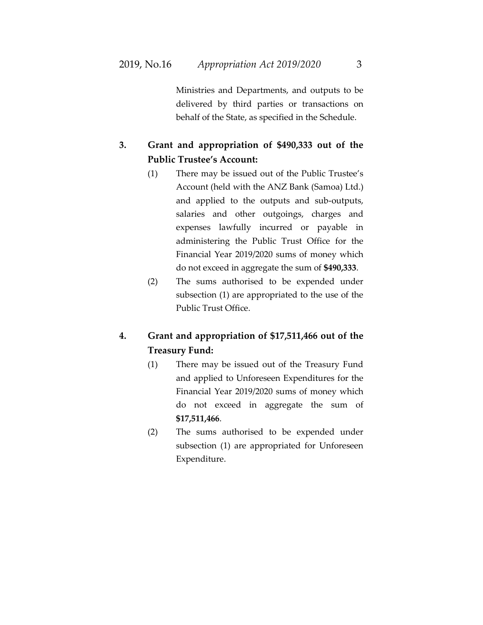Ministries and Departments, and outputs to be delivered by third parties or transactions on behalf of the State, as specified in the Schedule.

## **3. Grant and appropriation of \$490,333 out of the Public Trustee's Account:**

- (1) There may be issued out of the Public Trustee's Account (held with the ANZ Bank (Samoa) Ltd.) and applied to the outputs and sub-outputs, salaries and other outgoings, charges and expenses lawfully incurred or payable in administering the Public Trust Office for the Financial Year 2019/2020 sums of money which do not exceed in aggregate the sum of **\$490,333**.
- (2) The sums authorised to be expended under subsection (1) are appropriated to the use of the Public Trust Office.

# **4. Grant and appropriation of \$17,511,466 out of the Treasury Fund:**

- (1) There may be issued out of the Treasury Fund and applied to Unforeseen Expenditures for the Financial Year 2019/2020 sums of money which do not exceed in aggregate the sum of **\$17,511,466**.
- (2) The sums authorised to be expended under subsection (1) are appropriated for Unforeseen Expenditure.